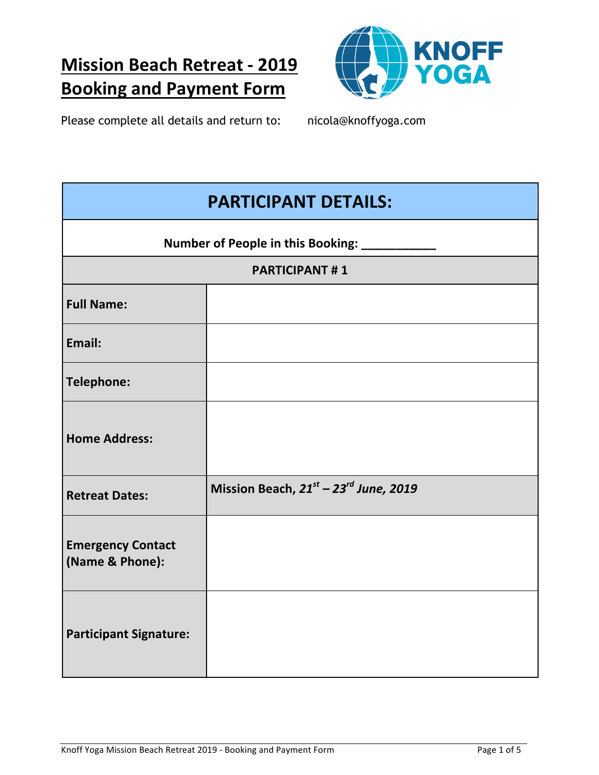# **Mission Beach Retreat - 2019 Booking and Payment Form**



Please complete all details and return to: nicola@knoffyoga.com

| <b>PARTICIPANT DETAILS:</b>                 |                                       |  |
|---------------------------------------------|---------------------------------------|--|
| Number of People in this Booking: ___       |                                       |  |
| <b>PARTICIPANT#1</b>                        |                                       |  |
| <b>Full Name:</b>                           |                                       |  |
| Email:                                      |                                       |  |
| <b>Telephone:</b>                           |                                       |  |
| <b>Home Address:</b>                        |                                       |  |
| <b>Retreat Dates:</b>                       | Mission Beach, 21st - 23rd June, 2019 |  |
| <b>Emergency Contact</b><br>(Name & Phone): |                                       |  |
| <b>Participant Signature:</b>               |                                       |  |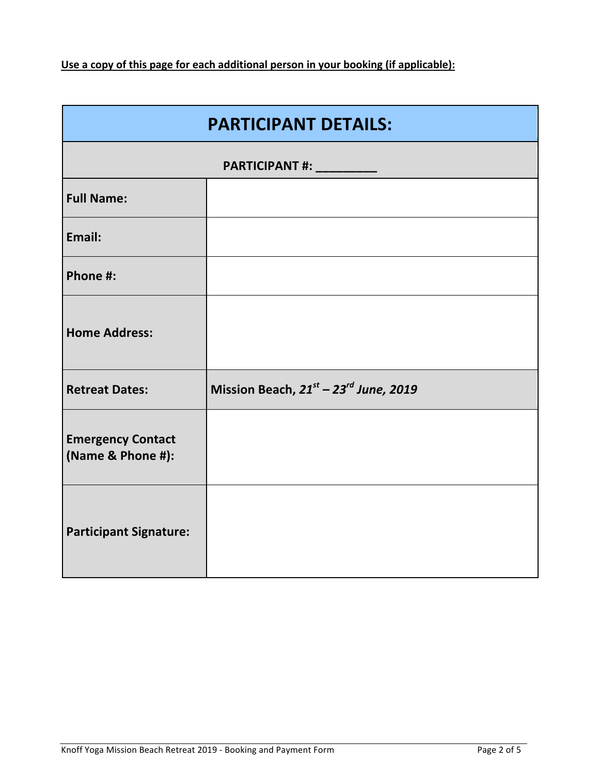Use a copy of this page for each additional person in your booking (if applicable):

| <b>PARTICIPANT DETAILS:</b>                   |                                       |  |
|-----------------------------------------------|---------------------------------------|--|
| PARTICIPANT #: _________                      |                                       |  |
| <b>Full Name:</b>                             |                                       |  |
| Email:                                        |                                       |  |
| Phone #:                                      |                                       |  |
| <b>Home Address:</b>                          |                                       |  |
| <b>Retreat Dates:</b>                         | Mission Beach, 21st - 23rd June, 2019 |  |
| <b>Emergency Contact</b><br>(Name & Phone #): |                                       |  |
| <b>Participant Signature:</b>                 |                                       |  |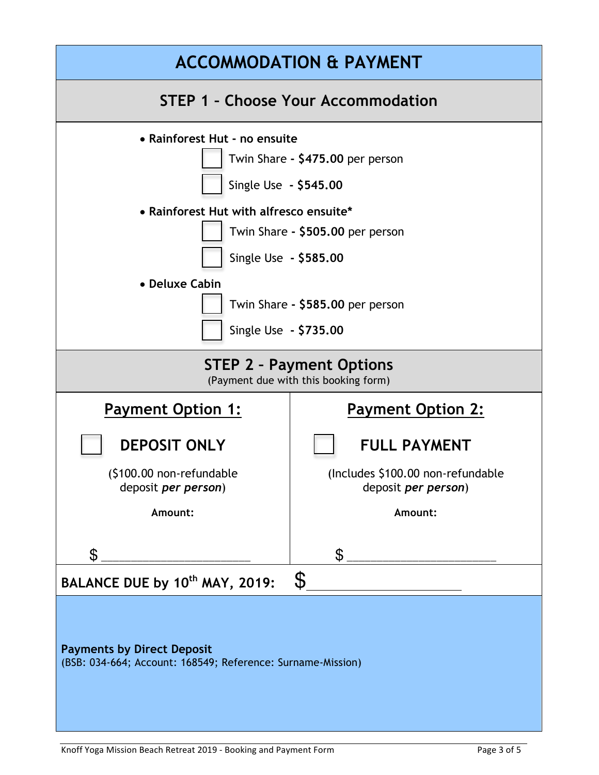| <b>ACCOMMODATION &amp; PAYMENT</b>                                                                                                                                                                                                                                                |                                                                  |  |  |
|-----------------------------------------------------------------------------------------------------------------------------------------------------------------------------------------------------------------------------------------------------------------------------------|------------------------------------------------------------------|--|--|
| <b>STEP 1 - Choose Your Accommodation</b>                                                                                                                                                                                                                                         |                                                                  |  |  |
| • Rainforest Hut - no ensuite<br>Twin Share - \$475.00 per person<br>Single Use - \$545.00<br>• Rainforest Hut with alfresco ensuite*<br>Twin Share - \$505.00 per person<br>Single Use - \$585.00<br>• Deluxe Cabin<br>Twin Share - \$585.00 per person<br>Single Use - \$735.00 |                                                                  |  |  |
| <b>STEP 2 - Payment Options</b><br>(Payment due with this booking form)                                                                                                                                                                                                           |                                                                  |  |  |
| <b>Payment Option 1:</b>                                                                                                                                                                                                                                                          | <b>Payment Option 2:</b>                                         |  |  |
| <b>DEPOSIT ONLY</b>                                                                                                                                                                                                                                                               | <b>FULL PAYMENT</b>                                              |  |  |
| (\$100.00 non-refundable<br>deposit <i>per person</i> )                                                                                                                                                                                                                           | (Includes \$100.00 non-refundable<br>deposit <i>per person</i> ) |  |  |
| Amount:                                                                                                                                                                                                                                                                           | Amount:                                                          |  |  |
| \$                                                                                                                                                                                                                                                                                | $\mathbb S$                                                      |  |  |
| $\mathcal{S}$<br>BALANCE DUE by 10 <sup>th</sup> MAY, 2019:                                                                                                                                                                                                                       |                                                                  |  |  |
| <b>Payments by Direct Deposit</b><br>(BSB: 034-664; Account: 168549; Reference: Surname-Mission)                                                                                                                                                                                  |                                                                  |  |  |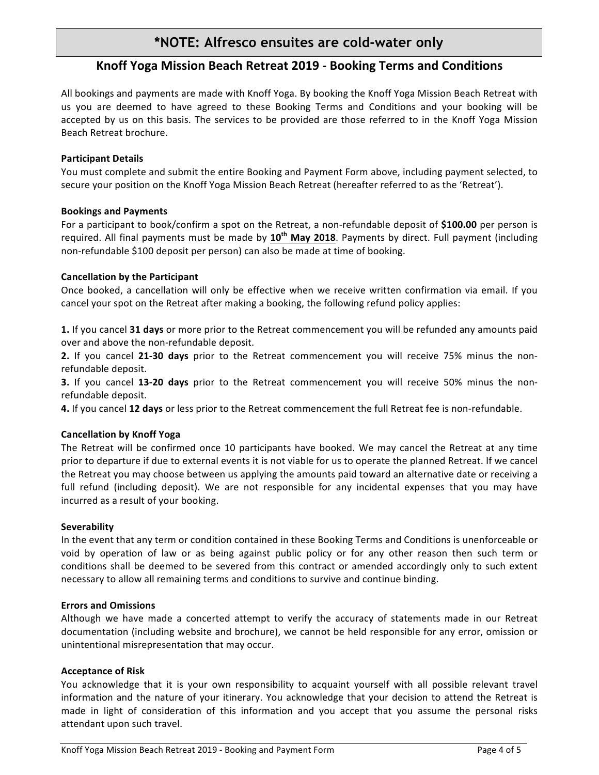# **\*NOTE: Alfresco ensuites are cold-water only**

# **Knoff Yoga Mission Beach Retreat 2019 - Booking Terms and Conditions**

All bookings and payments are made with Knoff Yoga. By booking the Knoff Yoga Mission Beach Retreat with us you are deemed to have agreed to these Booking Terms and Conditions and your booking will be accepted by us on this basis. The services to be provided are those referred to in the Knoff Yoga Mission Beach Retreat brochure.

# **Participant Details**

You must complete and submit the entire Booking and Payment Form above, including payment selected, to secure your position on the Knoff Yoga Mission Beach Retreat (hereafter referred to as the 'Retreat').

# **Bookings and Payments**

For a participant to book/confirm a spot on the Retreat, a non-refundable deposit of \$100.00 per person is required. All final payments must be made by 10<sup>th</sup> May 2018. Payments by direct. Full payment (including non-refundable \$100 deposit per person) can also be made at time of booking.

# **Cancellation by the Participant**

Once booked, a cancellation will only be effective when we receive written confirmation via email. If you cancel your spot on the Retreat after making a booking, the following refund policy applies:

**1.** If you cancel **31 days** or more prior to the Retreat commencement you will be refunded any amounts paid over and above the non-refundable deposit.

**2.** If you cancel 21-30 days prior to the Retreat commencement you will receive 75% minus the nonrefundable deposit.

**3.** If you cancel **13-20 days** prior to the Retreat commencement you will receive 50% minus the nonrefundable deposit.

**4.** If you cancel 12 days or less prior to the Retreat commencement the full Retreat fee is non-refundable.

# **Cancellation by Knoff Yoga**

The Retreat will be confirmed once 10 participants have booked. We may cancel the Retreat at any time prior to departure if due to external events it is not viable for us to operate the planned Retreat. If we cancel the Retreat you may choose between us applying the amounts paid toward an alternative date or receiving a full refund (including deposit). We are not responsible for any incidental expenses that you may have incurred as a result of your booking.

#### **Severability**

In the event that any term or condition contained in these Booking Terms and Conditions is unenforceable or void by operation of law or as being against public policy or for any other reason then such term or conditions shall be deemed to be severed from this contract or amended accordingly only to such extent necessary to allow all remaining terms and conditions to survive and continue binding.

#### **Errors and Omissions**

Although we have made a concerted attempt to verify the accuracy of statements made in our Retreat documentation (including website and brochure), we cannot be held responsible for any error, omission or unintentional misrepresentation that may occur.

#### **Acceptance of Risk**

You acknowledge that it is your own responsibility to acquaint yourself with all possible relevant travel information and the nature of your itinerary. You acknowledge that your decision to attend the Retreat is made in light of consideration of this information and you accept that you assume the personal risks attendant upon such travel.